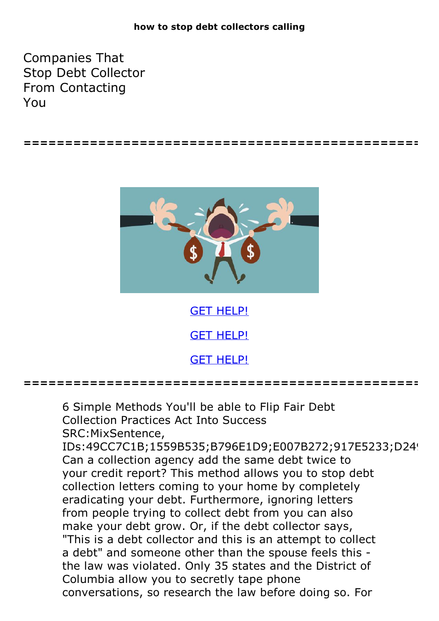## **how to stop debt collectors calling**

Companies That Stop Debt Collector From Contacting You



**================================================**

GET [HELP!](https://runpdf.xyz/pdf) GET [HELP!](https://runpdf.xyz/pdf)

GET [HELP!](https://runpdf.xyz/pdf)

**================================================**

6 Simple Methods You'll be able to Flip Fair Debt

Collection Practices Act Into Success SRC:MixSentence,

IDs:49CC7C1B;1559B535;B796E1D9;E007B272;917E5233;D24! Can a collection agency add the same debt twice to your credit report? This method allows you to stop debt collection letters coming to your home by completely eradicating your debt. Furthermore, ignoring letters from people trying to collect debt from you can also make your debt grow. Or, if the debt collector says, "This is a debt collector and this is an attempt to collect a debt" and someone other than the spouse feels this the law was violated. Only 35 states and the District of Columbia allow you to secretly tape phone conversations, so research the law before doing so. For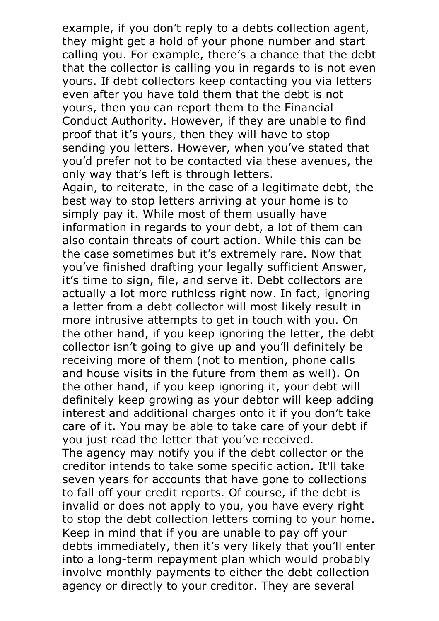example, if you don't reply to a debts collection agent, they might get a hold of your phone number and start calling you. For example, there's a chance that the debt that the collector is calling you in regards to is not even yours. If debt collectors keep contacting you via letters even after you have told them that the debt is not yours, then you can report them to the Financial Conduct Authority. However, if they are unable to find proof that it's yours, then they will have to stop sending you letters. However, when you've stated that you'd prefer not to be contacted via these avenues, the

only way that's left is through letters. Again, to reiterate, in the case of <sup>a</sup> legitimate debt, the best way to stop letters arriving at your home is to simply pay it. While most of them usually have information in regards to your debt, a lot of them can also contain threats of court action. While this can be the case sometimes but it's extremely rare. Now that you've finished drafting your legally sufficient Answer, it's time to sign, file, and serve it. Debt collectors are actually a lot more ruthless right now. In fact, ignoring a letter from a debt collector will most likely result in more intrusive attempts to get in touch with you. On the other hand, if you keep ignoring the letter, the debt collector isn't going to give up and you'll definitely be receiving more of them (not to mention, phone calls and house visits in the future from them as well). On the other hand, if you keep ignoring it, your debt will definitely keep growing as your debtor will keep adding interest and additional charges onto it if you don't take care of it. You may be able to take care of your debt if you just read the letter that you've received.

The agency may notify you if the debt collector or the creditor intends to take some specific action. It'll take seven years for accounts that have gone to collections to fall off your credit reports. Of course, if the debt is invalid or does not apply to you, you have every right to stop the debt collection letters coming to your home. Keep in mind that if you are unable to pay off your debts immediately, then it's very likely that you'll enter into a long-term repayment plan which would probably involve monthly payments to either the debt collection agency or directly to your creditor. They are several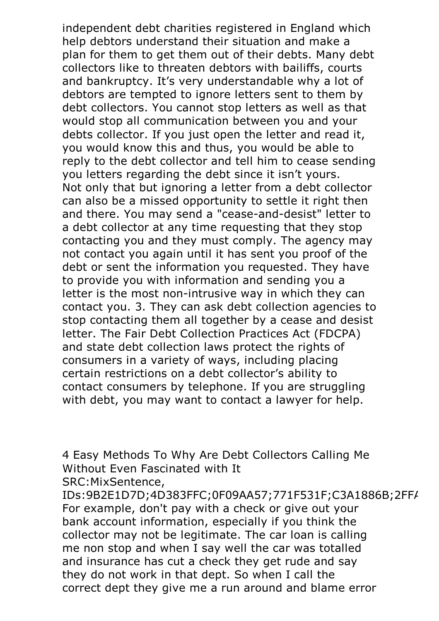independent debt charities registered in England which help debtors understand their situation and make a plan for them to get them out of their debts. Many debt collectors like to threaten debtors with bailiffs, courts and bankruptcy. It's very understandable why a lot of debtors are tempted to ignore letters sent to them by debt collectors. You cannot stop letters as well as that would stop all communication between you and your debts collector. If you just open the letter and read it, you would know this and thus, you would be able to reply to the debt collector and tell him to cease sending you letters regarding the debt since it isn't yours. Not only that but ignoring <sup>a</sup> letter from <sup>a</sup> debt collector can also be a missed opportunity to settle it right then and there. You may send a "cease-and-desist" letter to a debt collector at any time requesting that they stop contacting you and they must comply. The agency may not contact you again until it has sent you proof of the debt or sent the information you requested. They have to provide you with information and sending you a letter is the most non-intrusive way in which they can contact you. 3. They can ask debt collection agencies to stop contacting them all together by a cease and desist letter. The Fair Debt Collection Practices Act (FDCPA) and state debt collection laws protect the rights of consumers in a variety of ways, including placing certain restrictions on a debt collector's ability to contact consumers by telephone. If you are struggling with debt, you may want to contact a lawyer for help.

4 Easy Methods To Why Are Debt Collectors Calling Me Without Even Fascinated with It SRC:MixSentence,

IDs:9B2E1D7D;4D383FFC;0F09AA57;771F531F;C3A1886B;2FF/ For example, don't pay with a check or give out your bank account information, especially if you think the collector may not be legitimate. The car loan is calling me non stop and when I say well the car was totalled and insurance has cut a check they get rude and say they do not work in that dept. So when I call the correct dept they give me a run around and blame error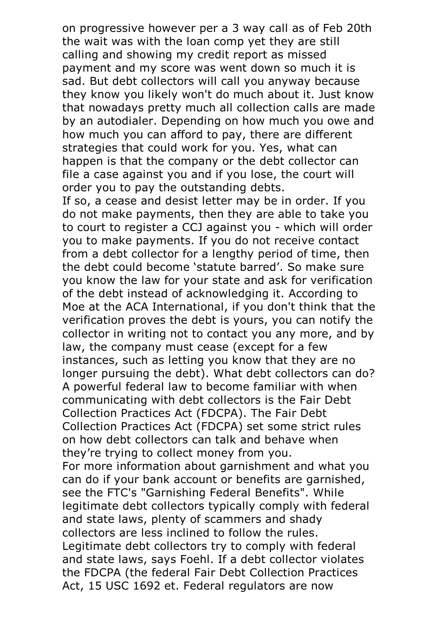on progressive however per a 3 way call as of Feb 20th the wait was with the loan comp yet they are still calling and showing my credit report as missed payment and my score was went down so much it is sad. But debt collectors will call you anyway because they know you likely won't do much about it. Just know that nowadays pretty much all collection calls are made by an autodialer. Depending on how much you owe and how much you can afford to pay, there are different strategies that could work for you. Yes, what can happen is that the company or the debt collector can file a case against you and if you lose, the court will order you to pay the outstanding debts.

If so, a cease and desist letter may be in order. If you do not make payments, then they are able to take you to court to register a CCJ against you - which will order you to make payments. If you do not receive contact from a debt collector for a lengthy period of time, then the debt could become 'statute barred'. So make sure you know the law for your state and ask for verification of the debt instead of acknowledging it. According to Moe at the ACA International, if you don't think that the verification proves the debt is yours, you can notify the collector in writing not to contact you any more, and by law, the company must cease (except for a few instances, such as letting you know that they are no longer pursuing the debt). What debt collectors can do? A powerful federal law to become familiar with when communicating with debt collectors is the Fair Debt Collection Practices Act (FDCPA). The Fair Debt Collection Practices Act (FDCPA) set some strict rules on how debt collectors can talk and behave when they're trying to collect money from you. For more information about garnishment and what you can do if your bank account or benefits are garnished, see the FTC's "Garnishing Federal Benefits". While legitimate debt collectors typically comply with federal and state laws, plenty of scammers and shady collectors are less inclined to follow the rules.

Legitimate debt collectors try to comply with federal and state laws, says Foehl. If a debt collector violates the FDCPA (the federal Fair Debt Collection Practices Act, 15 USC 1692 et. Federal regulators are now